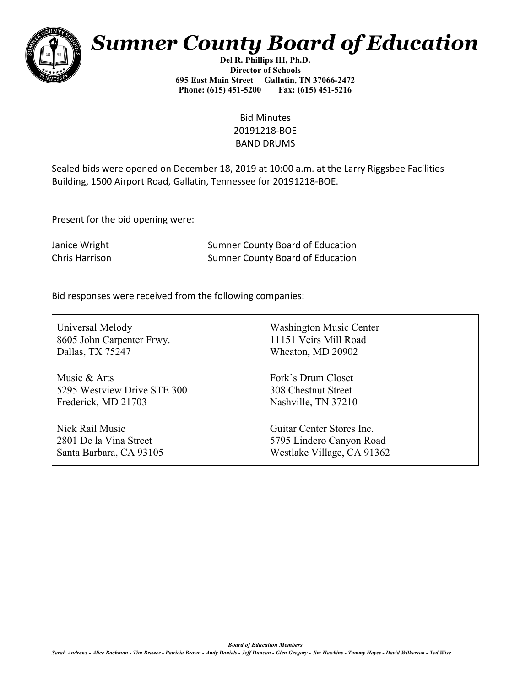

## *Sumner County Board of Education*

**Del R. Phillips III, Ph.D. Director of Schools 695 East Main Street Gallatin, TN 37066-2472 Phone: (615) 451-5200 Fax: (615) 451-5216** 

> Bid Minutes 20191218-BOE BAND DRUMS

Sealed bids were opened on December 18, 2019 at 10:00 a.m. at the Larry Riggsbee Facilities Building, 1500 Airport Road, Gallatin, Tennessee for 20191218-BOE.

Present for the bid opening were:

Janice Wright Sumner County Board of Education Chris Harrison Sumner County Board of Education

Bid responses were received from the following companies:

| Universal Melody            | <b>Washington Music Center</b> |
|-----------------------------|--------------------------------|
| 8605 John Carpenter Frwy.   | 11151 Veirs Mill Road          |
| Dallas, TX 75247            | Wheaton, MD 20902              |
| Music & Arts                | Fork's Drum Closet             |
| 5295 Westview Drive STE 300 | 308 Chestnut Street            |
| Frederick, MD 21703         | Nashville, TN 37210            |
| Nick Rail Music             | Guitar Center Stores Inc.      |
| 2801 De la Vina Street      | 5795 Lindero Canyon Road       |
| Santa Barbara, CA 93105     | Westlake Village, CA 91362     |